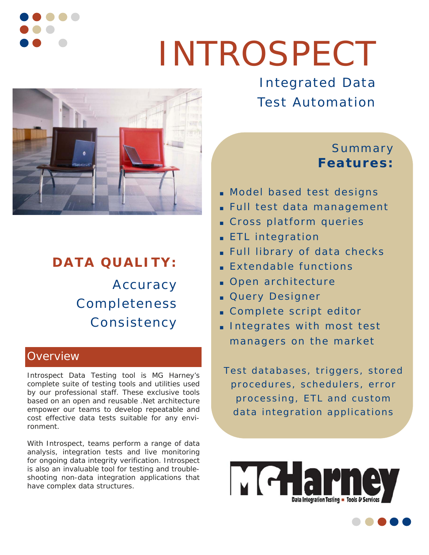

# INTROSPECT



# **DATA QUALITY:**  Accuracy Completeness Consistency

#### **Overview**

Introspect Data Testing tool is MG Harney's complete suite of testing tools and utilities used by our professional staff. These exclusive tools based on an open and reusable .Net architecture empower our teams to develop repeatable and cost effective data tests suitable for any environment.

With Introspect, teams perform a range of data analysis, integration tests and live monitoring for ongoing data integrity verification. Introspect is also an invaluable tool for testing and troubleshooting non-data integration applications that have complex data structures.

Integrated Data Test Automation

## Summary **Features:**

- Model based test designs
- Full test data management
- Cross platform queries
- ETL integration
- Full library of data checks
- Extendable functions
- Open architecture
- Query Designer
- Complete script editor
- Integrates with most test managers on the market

Test databases, triggers, stored procedures, schedulers, error processing, ETL and custom data integration applications

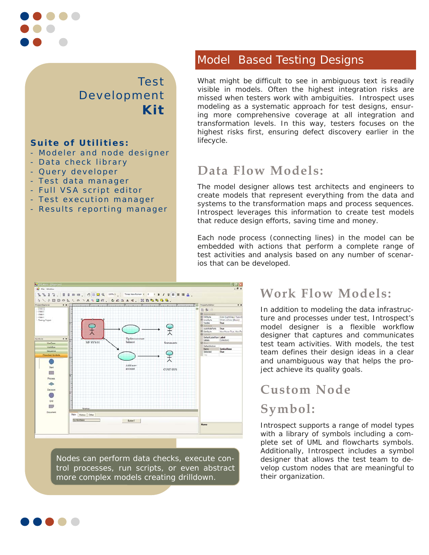

#### Test Development **Kit**

#### **Suite of Utilities:**

- Modeler and node designer
- Data check library
- Query developer
- Test data manager
- Full VSA script editor
- Test execution manager
- Results reporting manager

#### Model Based Testing Designs

What might be difficult to see in ambiguous text is readily visible in models. Often the highest integration risks are missed when testers work with ambiguities. Introspect uses modeling as a systematic approach for test designs, ensuring more comprehensive coverage at all integration and transformation levels. In this way, testers focuses on the highest risks first, ensuring defect discovery earlier in the lifecycle.

## **Data Flow Models:**

The model designer allows test architects and engineers to create models that represent everything from the data and systems to the transformation maps and process sequences. Introspect leverages this information to create test models that reduce design efforts, saving time and money.

Each node process (connecting lines) in the model can be embedded with actions that perform a complete range of test activities and analysis based on any number of scenarios that can be developed.



Nodes can perform data checks, execute control processes, run scripts, or even abstract more complex models creating drilldown.

## **Work Flow Models:**

In addition to modeling the data infrastructure and processes under test, Introspect's model designer is a flexible workflow designer that captures and communicates test team activities. With models, the test team defines their design ideas in a clear and unambiguous way that helps the project achieve its quality goals.

## **Custom Node Symbol:**

Introspect supports a range of model types with a library of symbols including a complete set of UML and flowcharts symbols. Additionally, Introspect includes a symbol designer that allows the test team to develop custom nodes that are meaningful to their organization.

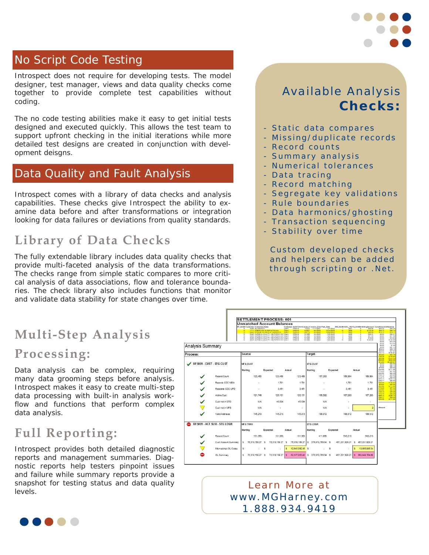

#### No Script Code Testing

Introspect does not require for developing tests. The model designer, test manager, views and data quality checks come together to provide complete test capabilities without coding.

The no code testing abilities make it easy to get initial tests designed and executed quickly. This allows the test team to support upfront checking in the initial iterations while more detailed test designs are created in conjunction with development deisgns.

#### Data Quality and Fault Analysis

Introspect comes with a library of data checks and analysis capabilities. These checks give Introspect the ability to examine data before and after transformations or integration looking for data failures or deviations from quality standards.

## **Library of Data Checks**

The fully extendable library includes data quality checks that provide multi-faceted analysis of the data transformations. The checks range from simple static compares to more critical analysis of data associations, flow and tolerance boundaries. The check library also includes functions that monitor and validate data stability for state changes over time.

## Available Analysis  **Checks:**

- Static data compares
- Missing/duplicate records
- Record counts
- Summary analysis
- Numerical tolerances
- Data tracing
- Record matching
- Segregate key validations
- Rule boundaries
- Data harmonics/ghosting
- Transaction sequencing
- Stability over time

Custom developed checks and helpers can be added through scripting or .Net.

# **Multi-Step Analysis**

### **Processing:**

Data analysis can be complex, requiring many data grooming steps before analysis. Introspect makes it easy to create multi-step data processing with built-in analysis workflow and functions that perform complex data analysis.

## **Full Reporting:**

Introspect provides both detailed diagnostic reports and management summaries. Diagnostic reports help testers pinpoint issues and failure while summary reports provide a snapshot for testing status and data quality levels.



#### Learn More at www.MGHarney.com 1.888.934.9419

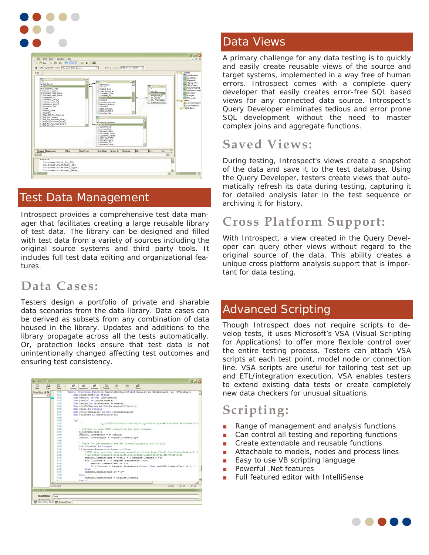



#### Test Data Management

Introspect provides a comprehensive test data manager that facilitates creating a large reusable library of test data. The library can be designed and filled with test data from a variety of sources including the original source systems and third party tools. It includes full test data editing and organizational features.

## **Data Cases:**

Testers design a portfolio of private and sharable data scenarios from the data library. Data cases can be derived as subsets from any combination of data housed in the library. Updates and additions to the library propagate across all the tests automatically. Or, protection locks ensure that test data is not unintentionally changed affecting test outcomes and ensuring test consistency.

| C)<br>□<br>Open    |   | $\Box$<br>Save | r2                                                                            | r9<br>General Assembles Browser              | rS <sup>1</sup>  | 92<br>Compile                             | m<br>Plan | m<br>Skids | E <sup>o</sup><br>Emore                                                                |  |        |        |       |
|--------------------|---|----------------|-------------------------------------------------------------------------------|----------------------------------------------|------------------|-------------------------------------------|-----------|------------|----------------------------------------------------------------------------------------|--|--------|--------|-------|
| Object Brg., 3 X   |   | 378            |                                                                               |                                              |                  |                                           |           |            | Public Overrides Function ExecuteNonQuery(SyRef Request As DataRequest) As IDTNonQuery |  |        |        |       |
| ۰                  |   | 360            | Dim sConnectStr As String<br>Dim cmdODBC As New OdboCommand                   |                                              |                  |                                           |           |            |                                                                                        |  |        |        |       |
|                    |   | 381            |                                                                               |                                              |                  |                                           |           |            |                                                                                        |  |        |        |       |
|                    |   | 382            |                                                                               | Dim prmODBC As OdboParameter                 |                  |                                           |           |            |                                                                                        |  |        |        |       |
|                    |   | 3.8.3          |                                                                               | Dim oParan As DataRequest.Parameter          |                  |                                           |           |            |                                                                                        |  |        |        |       |
|                    |   | 384            |                                                                               | Dim colODBCParams As OdbcParameterCollection |                  |                                           |           |            |                                                                                        |  |        |        |       |
|                    |   | 385            |                                                                               | Dim iRows As Integer                         |                  |                                           |           |            |                                                                                        |  |        |        |       |
|                    |   | 386            | Dim oReturnNonQuery As New IDTOdbcNonQuery<br>Dim tranCOBC As OdhoTransaction |                                              |                  |                                           |           |            |                                                                                        |  |        |        |       |
|                    |   | 387            |                                                                               |                                              |                  |                                           |           |            |                                                                                        |  |        |        |       |
|                    |   | 388            |                                                                               |                                              |                  |                                           |           |            |                                                                                        |  |        |        |       |
|                    |   | 389            | Try.                                                                          | 1.11                                         |                  |                                           |           |            |                                                                                        |  |        |        |       |
|                    |   | 390            |                                                                               |                                              |                  |                                           |           |            | m conODBC.ConnectionString = g ConnStrings.DetInstance.GetConnectStr                   |  |        |        |       |
|                    |   | 391            |                                                                               |                                              |                  |                                           |           |            |                                                                                        |  |        |        |       |
|                    |   | 352            |                                                                               |                                              |                  |                                           |           |            | ' attempt to open ODBC connection and exec command                                     |  |        |        |       |
|                    |   | 393            |                                                                               |                                              | m conODBC.Open() |                                           |           |            |                                                                                        |  |        |        |       |
|                    |   | 394            |                                                                               |                                              |                  | cmd0DBC.Connection = m_conODBC            |           |            |                                                                                        |  |        |        |       |
|                    |   | 395            |                                                                               |                                              |                  | cmd0DBC.CommandType = Request.CommandType |           |            |                                                                                        |  |        |        |       |
|                    |   | 356            |                                                                               |                                              |                  |                                           |           |            |                                                                                        |  |        |        |       |
|                    |   | 397            |                                                                               |                                              |                  |                                           |           |            | ' Check for parameters, and set Command property accordingly                           |  |        |        |       |
|                    |   | 398            |                                                                               |                                              |                  | Dim iCounter As Integer                   |           |            |                                                                                        |  |        |        |       |
|                    |   | $3.9 - 9$      |                                                                               |                                              |                  | If Request. Parameters. Count > 0 Then    |           |            |                                                                                        |  |        |        |       |
|                    |   | 400            |                                                                               |                                              |                  |                                           |           |            | 'ODBC data provider requires something of the form "(call CustOrdersOrders (?, ?       |  |        |        |       |
|                    |   | 4.01           |                                                                               |                                              |                  |                                           |           |            | 'see http://support.microsoft.com/default.aspx?scid=kb;EN-US:0309486                   |  |        |        |       |
|                    |   | 402            |                                                                               |                                              |                  |                                           |           |            | cmd00BC.CommandText = "(call " & Request.Command & "("                                 |  |        |        |       |
|                    |   | 403            |                                                                               |                                              |                  |                                           |           |            | For iCounter = 1 To Request. Parameters. Count                                         |  |        |        |       |
|                    |   | 404            |                                                                               |                                              |                  | cmdODBC.CommandText &= "3"                |           |            |                                                                                        |  |        |        |       |
|                    |   | 405            |                                                                               |                                              |                  |                                           |           |            | If (iCounter < Request. Parameters. Count) Then cmdCDBC. CommandText 4= ", "           |  |        |        |       |
|                    |   | 404            |                                                                               | Next                                         |                  |                                           |           |            |                                                                                        |  |        |        |       |
|                    |   | 407            |                                                                               |                                              |                  | cmdCCBC.CommandText s= "ii"               |           |            |                                                                                        |  |        |        |       |
|                    |   | 405            |                                                                               | 2146                                         |                  |                                           |           |            |                                                                                        |  |        |        |       |
|                    |   | 409            |                                                                               |                                              |                  | cndCCBC.CommandText = Request.Command     |           |            |                                                                                        |  |        |        |       |
|                    | ٠ | 43.00          |                                                                               | <b>Paul Tie</b>                              |                  |                                           |           |            |                                                                                        |  |        |        |       |
|                    |   | Untified.txt   |                                                                               |                                              |                  |                                           |           |            |                                                                                        |  | ln 381 | Col 15 | On 15 |
| General Panel      |   |                |                                                                               |                                              |                  |                                           |           |            |                                                                                        |  |        |        | m     |
|                    |   |                |                                                                               |                                              |                  |                                           |           |            |                                                                                        |  |        |        |       |
| Script Name: Scree |   |                |                                                                               |                                              |                  |                                           |           |            |                                                                                        |  |        |        |       |
|                    |   |                |                                                                               |                                              |                  |                                           |           |            |                                                                                        |  |        |        |       |

#### Data Views

A primary challenge for any data testing is to quickly and easily create reusable views of the source and target systems, implemented in a way free of human errors. Introspect comes with a complete query developer that easily creates error-free SQL based views for any connected data source. Introspect's Query Developer eliminates tedious and error prone SQL development without the need to master complex joins and aggregate functions.

## **Saved Views:**

During testing, Introspect's views create a snapshot of the data and save it to the test database. Using the Query Developer, testers create views that automatically refresh its data during testing, capturing it for detailed analysis later in the test sequence or archiving it for history.

## **Cross Platform Support:**

With Introspect, a view created in the Query Developer can query other views without regard to the original source of the data. This ability creates a unique cross platform analysis support that is important for data testing.

#### Advanced Scripting

Though Introspect does not require scripts to develop tests, it uses Microsoft's VSA (Visual Scripting for Applications) to offer more flexible control over the entire testing process. Testers can attach VSA scripts at each test point, model node or connection line. VSA scripts are useful for tailoring test set up and ETL/integration execution. VSA enables testers to extend existing data tests or create completely new data checkers for unusual situations.

## **Scripting:**

- Range of management and analysis functions
- Can control all testing and reporting functions
- Create extendable and reusable functions
- Attachable to models, nodes and process lines
- Easy to use VB scripting language
- Powerful .Net features
- Full featured editor with IntelliSense

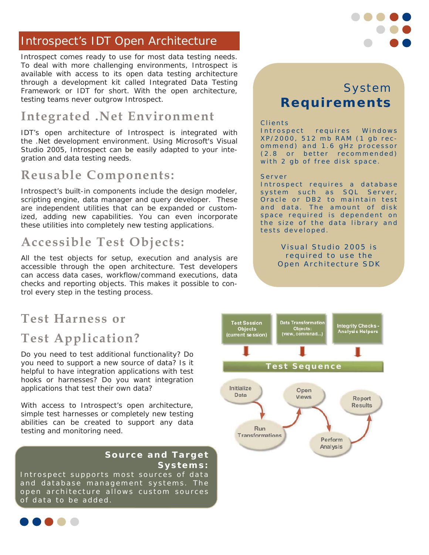#### Introspect's IDT Open Architecture

Introspect comes ready to use for most data testing needs. To deal with more challenging environments, Introspect is available with access to its open data testing architecture through a development kit called Integrated Data Testing Framework or IDT for short. With the open architecture, testing teams never outgrow Introspect.

## **Integrated .Net Environment**

IDT's open architecture of Introspect is integrated with the .Net development environment. Using Microsoft's Visual Studio 2005, Introspect can be easily adapted to your integration and data testing needs.

## **Reusable Components:**

Introspect's built-in components include the design modeler, scripting engine, data manager and query developer. These are independent utilities that can be expanded or customized, adding new capabilities. You can even incorporate these utilities into completely new testing applications.

### **Accessible Test Objects:**

All the test objects for setup, execution and analysis are accessible through the open architecture. Test developers can access data cases, workflow/command executions, data checks and reporting objects. This makes it possible to control every step in the testing process.

## **Test Harness or Test Application?**

Do you need to test additional functionality? Do you need to support a new source of data? Is it helpful to have integration applications with test hooks or harnesses? Do you want integration applications that test their own data?

With access to Introspect's open architecture, simple test harnesses or completely new testing abilities can be created to support any data testing and monitoring need.

#### **Source and Target Systems:**

Introspect supports most sources of data and database management systems. The open architecture allows custom sources of data to be added.



#### Clients

Introspect requires Windows XP/2000, 512 mb RAM (1 gb recommend) and 1.6 gHz processor (2.8 or better recommended) with 2 gb of free disk space.

#### Server

Introspect requires a database system such as SQL Server, Oracle or DB2 to maintain test and data. The amount of disk space required is dependent on the size of the data library and tests developed.

> Visual Studio 2005 is required to use the Open Architecture SDK